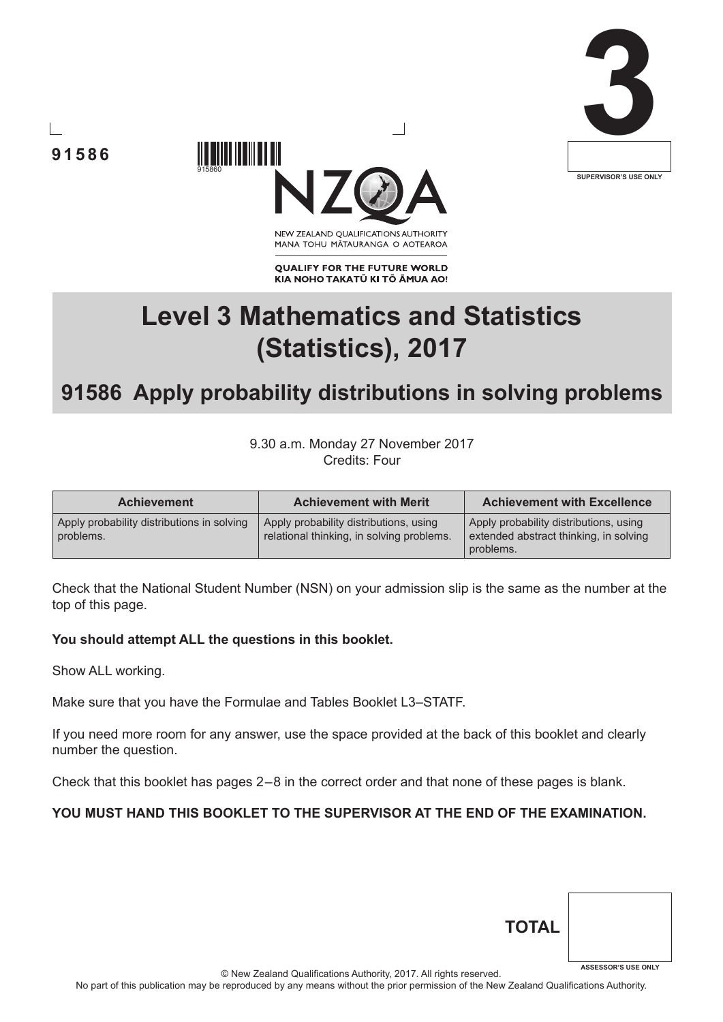





NEW ZEALAND OUALIFICATIONS AUTHORITY MANA TOHU MĀTAURANGA O AOTEAROA

**QUALIFY FOR THE FUTURE WORLD** KIA NOHO TAKATŪ KI TŌ ĀMUA AO!

# **Level 3 Mathematics and Statistics (Statistics), 2017**

## **91586 Apply probability distributions in solving problems**

9.30 a.m. Monday 27 November 2017 Credits: Four

| <b>Achievement</b>                                      | <b>Achievement with Merit</b>                                                       | <b>Achievement with Excellence</b>                                                            |
|---------------------------------------------------------|-------------------------------------------------------------------------------------|-----------------------------------------------------------------------------------------------|
| Apply probability distributions in solving<br>problems. | Apply probability distributions, using<br>relational thinking, in solving problems. | Apply probability distributions, using<br>extended abstract thinking, in solving<br>problems. |

Check that the National Student Number (NSN) on your admission slip is the same as the number at the top of this page.

#### **You should attempt ALL the questions in this booklet.**

915860

Show ALL working.

Make sure that you have the Formulae and Tables Booklet L3–STATF.

If you need more room for any answer, use the space provided at the back of this booklet and clearly number the question.

Check that this booklet has pages 2 – 8 in the correct order and that none of these pages is blank.

#### **YOU MUST HAND THIS BOOKLET TO THE SUPERVISOR AT THE END OF THE EXAMINATION.**

| <b>TOTAL</b> |                            |
|--------------|----------------------------|
|              | <b>ASSESSOR'S USE ONLY</b> |

© New Zealand Qualifications Authority, 2017. All rights reserved.

No part of this publication may be reproduced by any means without the prior permission of the New Zealand Qualifications Authority.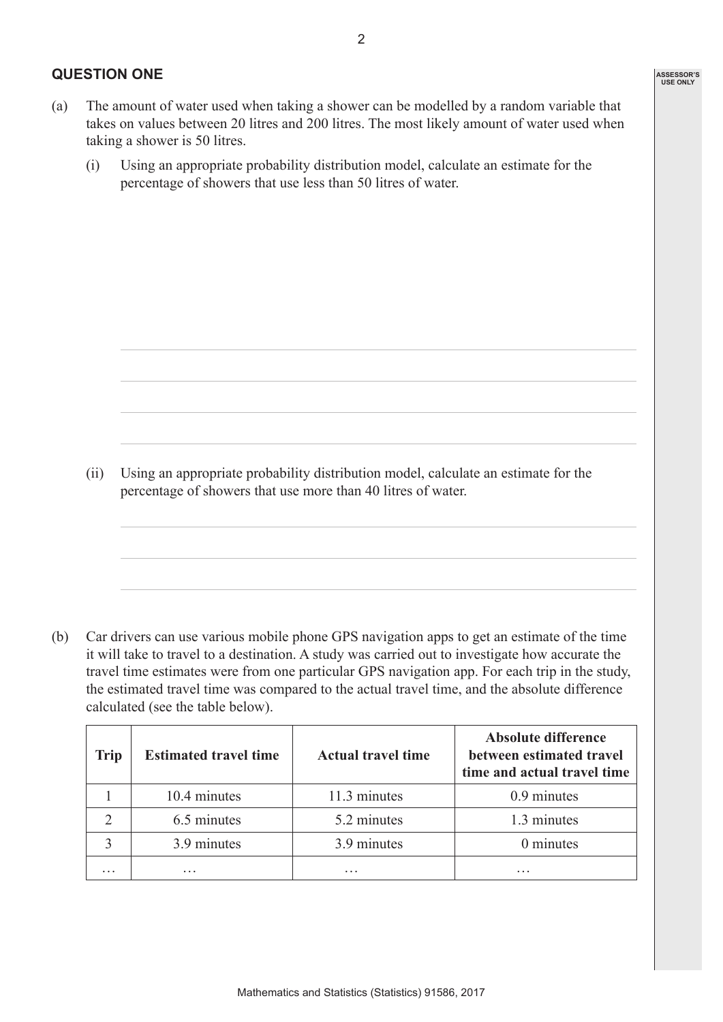#### **QUESTION ONE**

- (a) The amount of water used when taking a shower can be modelled by a random variable that takes on values between 20 litres and 200 litres. The most likely amount of water used when taking a shower is 50 litres.
	- (i) Using an appropriate probability distribution model, calculate an estimate for the percentage of showers that use less than 50 litres of water.

(ii) Using an appropriate probability distribution model, calculate an estimate for the percentage of showers that use more than 40 litres of water.

(b) Car drivers can use various mobile phone GPS navigation apps to get an estimate of the time it will take to travel to a destination. A study was carried out to investigate how accurate the travel time estimates were from one particular GPS navigation app. For each trip in the study, the estimated travel time was compared to the actual travel time, and the absolute difference calculated (see the table below).

| <b>Trip</b> | <b>Estimated travel time</b> | <b>Actual travel time</b> | <b>Absolute difference</b><br>between estimated travel<br>time and actual travel time |
|-------------|------------------------------|---------------------------|---------------------------------------------------------------------------------------|
|             | 10.4 minutes                 | 11.3 minutes              | 0.9 minutes                                                                           |
|             | 6.5 minutes                  | 5.2 minutes               | 1.3 minutes                                                                           |
|             | 3.9 minutes                  | 3.9 minutes               | 0 minutes                                                                             |
| $\ddotsc$   | .                            | .                         | .                                                                                     |

**ASSESSOR'S USE ONLY**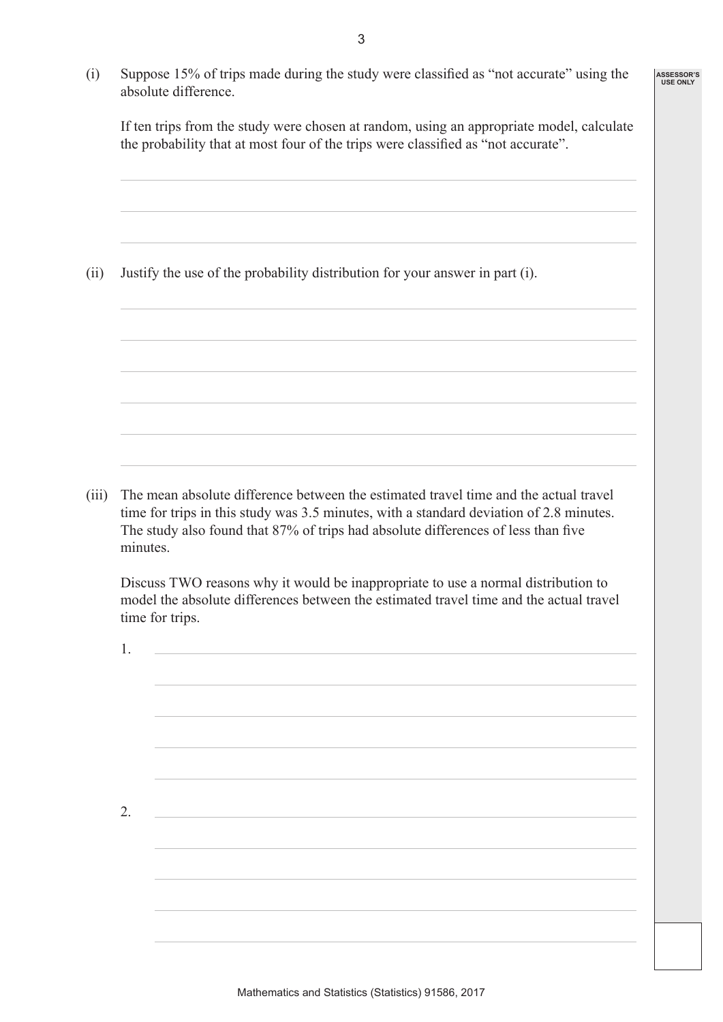(i) Suppose 15% of trips made during the study were classified as "not accurate" using the absolute difference.

 If ten trips from the study were chosen at random, using an appropriate model, calculate the probability that at most four of the trips were classified as "not accurate".

**ASSESSOR'S USE ONLY**

(ii) Justify the use of the probability distribution for your answer in part (i).

(iii) The mean absolute difference between the estimated travel time and the actual travel time for trips in this study was 3.5 minutes, with a standard deviation of 2.8 minutes. The study also found that 87% of trips had absolute differences of less than five minutes.

 Discuss TWO reasons why it would be inappropriate to use a normal distribution to model the absolute differences between the estimated travel time and the actual travel time for trips.

| 1. |                                                              |  |
|----|--------------------------------------------------------------|--|
|    |                                                              |  |
|    |                                                              |  |
|    |                                                              |  |
|    |                                                              |  |
|    |                                                              |  |
| 2. | <u> 1980 - Johann Barbara, martxa eta idazlea (h. 1980).</u> |  |
|    |                                                              |  |
|    |                                                              |  |
|    |                                                              |  |
|    |                                                              |  |
|    |                                                              |  |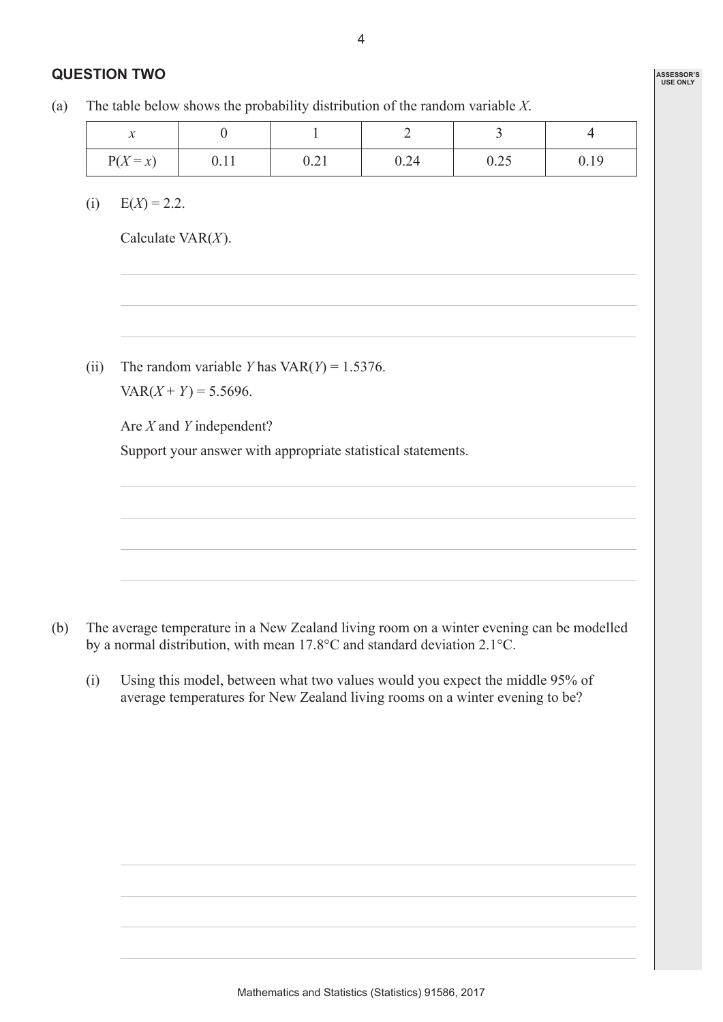### **QUESTION TWO**

(a) The table below shows the probability distribution of the random variable *X*.

| $\bullet$<br>$\ddot{\phantom{0}}$ |      |      |      |      |      |
|-----------------------------------|------|------|------|------|------|
| $P(X=x)$                          | V.II | 0.41 | 0.24 | 0.2J | V.IJ |

(i)  $E(X) = 2.2$ .

Calculate VAR(*X*).

(ii) The random variable *Y* has  $VAR(Y) = 1.5376$ .  $VAR(X + Y) = 5.5696.$ 

> Are *X* and *Y* independent? Support your answer with appropriate statistical statements.

- (b) The average temperature in a New Zealand living room on a winter evening can be modelled by a normal distribution, with mean 17.8°C and standard deviation 2.1°C.
	- (i) Using this model, between what two values would you expect the middle 95% of average temperatures for New Zealand living rooms on a winter evening to be?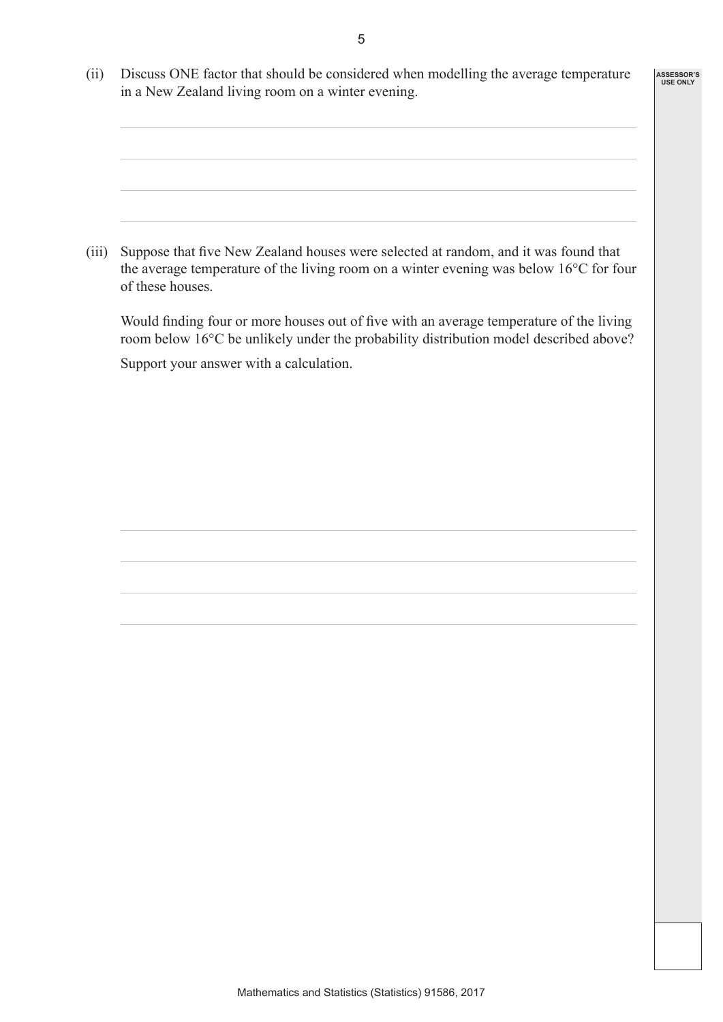(ii) Discuss ONE factor that should be considered when modelling the average temperature in a New Zealand living room on a winter evening.

**ASSESSOR'S USE ONLY**

 (iii) Suppose that five New Zealand houses were selected at random, and it was found that the average temperature of the living room on a winter evening was below 16°C for four of these houses.

 Would finding four or more houses out of five with an average temperature of the living room below 16°C be unlikely under the probability distribution model described above? Support your answer with a calculation.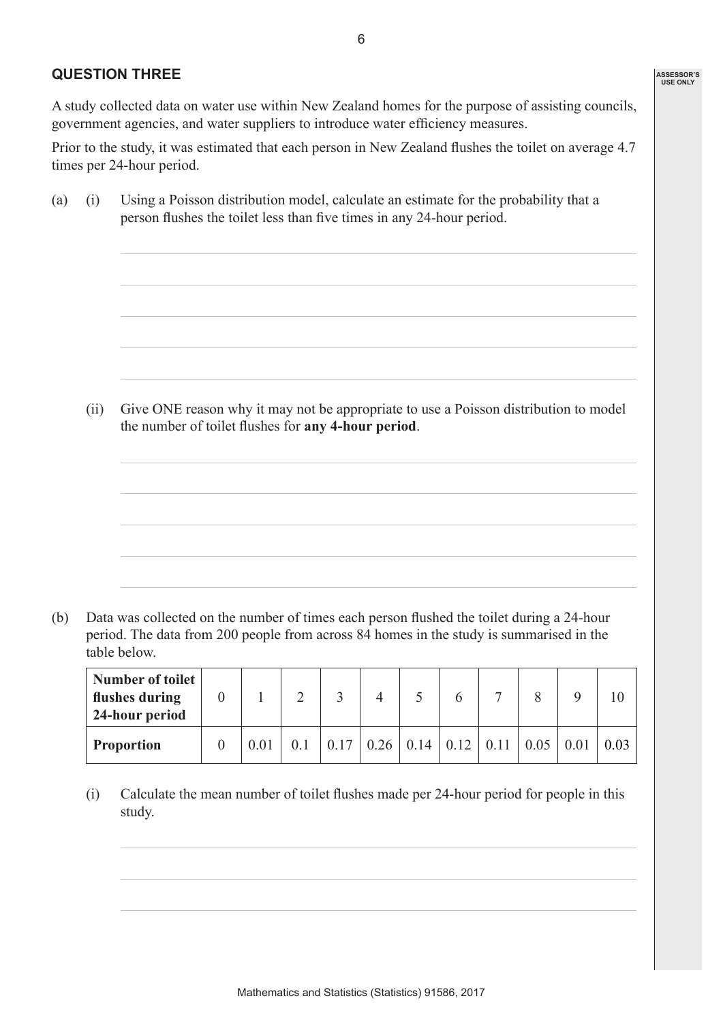#### **QUESTION THREE**

A study collected data on water use within New Zealand homes for the purpose of assisting councils, government agencies, and water suppliers to introduce water efficiency measures.

Prior to the study, it was estimated that each person in New Zealand flushes the toilet on average 4.7 times per 24-hour period.

(a) (i) Using a Poisson distribution model, calculate an estimate for the probability that a person flushes the toilet less than five times in any 24-hour period.

(ii) Give ONE reason why it may not be appropriate to use a Poisson distribution to model the number of toilet flushes for **any 4-hour period**.

(b) Data was collected on the number of times each person flushed the toilet during a 24-hour period. The data from 200 people from across 84 homes in the study is summarised in the table below.

| Number of toilet<br>flushes during<br>24-hour period |  |  |      | $\overline{ }$           |      |  |
|------------------------------------------------------|--|--|------|--------------------------|------|--|
| <b>Proportion</b>                                    |  |  | 0.14 | $0.12$   $0.11$   $0.05$ | 0.01 |  |

 (i) Calculate the mean number of toilet flushes made per 24-hour period for people in this study.

**ASSESSOR'S USE ONLY**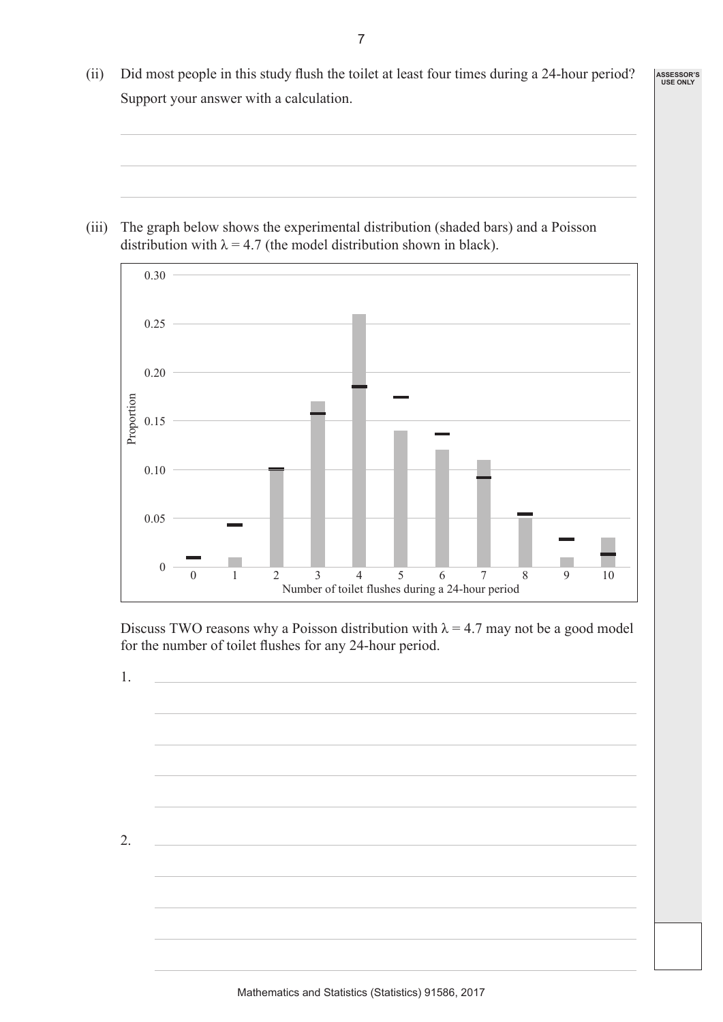(ii) Did most people in this study flush the toilet at least four times during a 24-hour period? Support your answer with a calculation.

**ASSESSOR'S USE ONLY**

(iii) The graph below shows the experimental distribution (shaded bars) and a Poisson distribution with  $\lambda = 4.7$  (the model distribution shown in black).



Discuss TWO reasons why a Poisson distribution with  $\lambda = 4.7$  may not be a good model for the number of toilet flushes for any 24-hour period.

1.

2.